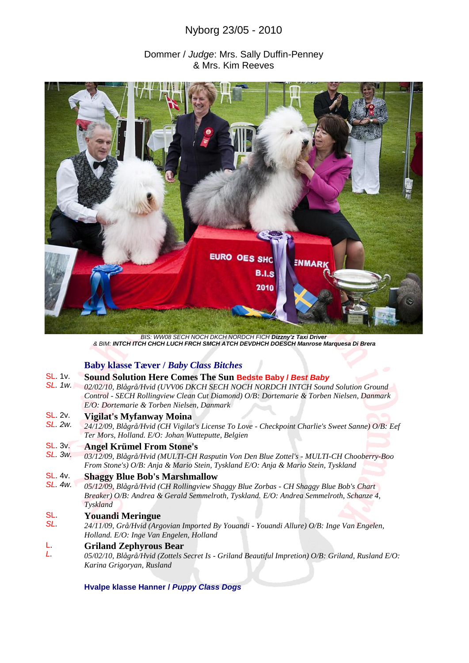# Nyborg 23/05 - 2010

# Dommer / *Judge*: Mrs. Sally Duffin-Penney & Mrs. Kim Reeves



*BIS: WW08 SECH NOCH DKCH NORDCH FICH Dizzny'z Taxi Driver & BIM: INTCH ITCH CHCH LUCH FRCH SMCH ATCH DEVDHCH DOESCH Manrose Marquesa Di Brera*

# **Baby klasse Tæver /** *Baby Class Bitches*

#### SL. 1v. **Sound Solution Here Comes The Sun Bedste Baby /** *Best Baby*

*SL. 1w. 02/02/10, Blågrå/Hvid (UVV06 DKCH SECH NOCH NORDCH INTCH Sound Solution Ground Control - SECH Rollingview Clean Cut Diamond) O/B: Dortemarie & Torben Nielsen, Danmark E/O: Dortemarie & Torben Nielsen, Danmark* 

#### SL. 2v. **Vigilat's Myfanway Moina**

*SL. 2w. 24/12/09, Blågrå/Hvid (CH Vigilat's License To Love - Checkpoint Charlie's Sweet Sanne) O/B: Eef Ter Mors, Holland. E/O: Johan Wutteputte, Belgien* 

#### SL. 3v. **Angel Krümel From Stone's**

*SL. 3w. 03/12/09, Blågrå/Hvid (MULTI-CH Rasputin Von Den Blue Zottel's - MULTI-CH Chooberry-Boo From Stone's) O/B: Anja & Mario Stein, Tyskland E/O: Anja & Mario Stein, Tyskland* 

#### SL. 4v. **Shaggy Blue Bob's Marshmallow**

*SL. 4w. 05/12/09, Blågrå/Hvid (CH Rollingview Shaggy Blue Zorbas - CH Shaggy Blue Bob's Chart Breaker) O/B: Andrea & Gerald Semmelroth, Tyskland. E/O: Andrea Semmelroth, Schanze 4, Tyskland* 

#### SL. **Youandi Meringue**

*SL. 24/11/09, Grå/Hvid (Argovian Imported By Youandi - Youandi Allure) O/B: Inge Van Engelen, Holland. E/O: Inge Van Engelen, Holland* 

#### L. **Griland Zephyrous Bear**

*L. 05/02/10, Blågrå/Hvid (Zottels Secret Is - Griland Beautiful Impretion) O/B: Griland, Rusland E/O: Karina Grigoryan, Rusland* 

### **Hvalpe klasse Hanner /** *Puppy Class Dogs*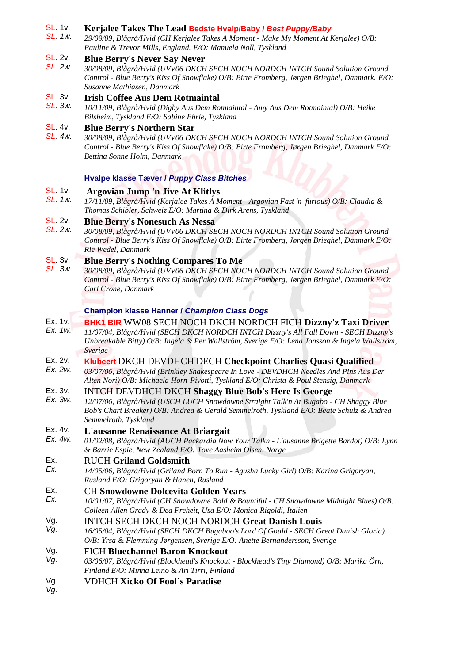#### SL. 1v. **Kerjalee Takes The Lead Bedste Hvalp/Baby /** *Best Puppy/Baby*

*SL. 1w. 29/09/09, Blågrå/Hvid (CH Kerjalee Takes A Moment - Make My Moment At Kerjalee) O/B: Pauline & Trevor Mills, England. E/O: Manuela Noll, Tyskland* 

#### SL. 2v. **Blue Berry's Never Say Never**

*SL. 2w. 30/08/09, Blågrå/Hvid (UVV06 DKCH SECH NOCH NORDCH INTCH Sound Solution Ground Control - Blue Berry's Kiss Of Snowflake) O/B: Birte Fromberg, Jørgen Brieghel, Danmark. E/O: Susanne Mathiasen, Danmark* 

#### SL. 3v. **Irish Coffee Aus Dem Rotmaintal**

*SL. 3w. 10/11/09, Blågrå/Hvid (Digby Aus Dem Rotmaintal - Amy Aus Dem Rotmaintal) O/B: Heike Bilsheim, Tyskland E/O: Sabine Ehrle, Tyskland* 

#### SL. 4v. **Blue Berry's Northern Star**

*SL. 4w. 30/08/09, Blågrå/Hvid (UVV06 DKCH SECH NOCH NORDCH INTCH Sound Solution Ground Control - Blue Berry's Kiss Of Snowflake) O/B: Birte Fromberg, Jørgen Brieghel, Danmark E/O: Bettina Sonne Holm, Danmark*

# **Hvalpe klasse Tæver /** *Puppy Class Bitches*

#### SL. 1v. **Argovian Jump 'n Jive At Klitlys**

*SL. 1w. 17/11/09, Blågrå/Hvid (Kerjalee Takes A Moment - Argovian Fast 'n 'furious) O/B: Claudia & Thomas Schibler, Schweiz E/O: Martina & Dirk Arens, Tyskland* 

#### SL. 2v. **Blue Berry's Nonesuch As Nessa**

*SL. 2w. 30/08/09, Blågrå/Hvid (UVV06 DKCH SECH NOCH NORDCH INTCH Sound Solution Ground Control - Blue Berry's Kiss Of Snowflake) O/B: Birte Fromberg, Jørgen Brieghel, Danmark E/O: Rie Wedel, Danmark*

#### SL. 3v. **Blue Berry's Nothing Compares To Me**

*SL. 3w. 30/08/09, Blågrå/Hvid (UVV06 DKCH SECH NOCH NORDCH INTCH Sound Solution Ground Control - Blue Berry's Kiss Of Snowflake) O/B: Birte Fromberg, Jørgen Brieghel, Danmark E/O: Carl Crone, Danmark*

### **Champion klasse Hanner /** *Champion Class Dogs*

- Ex. 1v. **BHK1 BIR** WW08 SECH NOCH DKCH NORDCH FICH **Dizzny'z Taxi Driver**
- *Ex. 1w. 11/07/04, Blågrå/Hvid (SECH DKCH NORDCH INTCH Dizzny's All Fall Down - SECH Dizzny's Unbreakable Bitty) O/B: Ingela & Per Wallström, Sverige E/O: Lena Jonsson & Ingela Wallström, Sverige*

#### Ex. 2v. **Klubcert** DKCH DEVDHCH DECH **Checkpoint Charlies Quasi Qualified**

*Ex. 2w. 03/07/06, Blågrå/Hvid (Brinkley Shakespeare In Love - DEVDHCH Needles And Pins Aus Der Alten Nori) O/B: Michaela Horn-Pivotti, Tyskland E/O: Christa & Poul Stensig, Danmark*

#### Ex. 3v. INTCH DEVDHCH DKCH **Shaggy Blue Bob's Here Is George**

*Ex. 3w. 12/07/06, Blågrå/Hvid (USCH LUCH Snowdowne Straight Talk'n At Bugabo - CH Shaggy Blue Bob's Chart Breaker) O/B: Andrea & Gerald Semmelroth, Tyskland E/O: Beate Schulz & Andrea Semmelroth, Tyskland*

#### Ex. 4v. **L'ausanne Renaissance At Briargait**

*Ex. 4w. 01/02/08, Blågrå/Hvid (AUCH Packardia Now Your Talkn - L'ausanne Brigette Bardot) O/B: Lynn & Barrie Espie, New Zealand E/O: Tove Aasheim Olsen, Norge*

#### Ex. RUCH **Griland Goldsmith**

*Ex. 14/05/06, Blågrå/Hvid (Griland Born To Run - Agusha Lucky Girl) O/B: Karina Grigoryan, Rusland E/O: Grigoryan & Hanen, Rusland*

#### Ex. CH **Snowdowne Dolcevita Golden Years**

*Ex. 10/01/07, Blågrå/Hvid (CH Snowdowne Bold & Bountiful - CH Snowdowne Midnight Blues) O/B: Colleen Allen Grady & Dea Freheit, Usa E/O: Monica Rigoldi, Italien*

#### Vg. INTCH SECH DKCH NOCH NORDCH **Great Danish Louis**

*Vg. 16/05/04, Blågrå/Hvid (SECH DKCH Bugaboo's Lord Of Gould - SECH Great Danish Gloria) O/B: Yrsa & Flemming Jørgensen, Sverige E/O: Anette Bernandersson, Sverige*

#### Vg. FICH **Bluechannel Baron Knockout**

- *Vg. 03/06/07, Blågrå/Hvid (Blockhead's Knockout - Blockhead's Tiny Diamond) O/B: Marika Örn, Finland E/O: Minna Leino & Ari Tirri, Finland*
- Vg. VDHCH **Xicko Of Fool´s Paradise**
- *Vg.*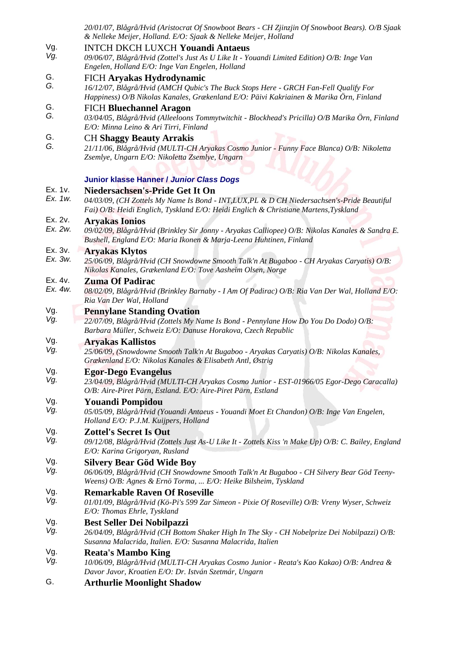|                    | 20/01/07, Blågrå/Hvid (Aristocrat Of Snowboot Bears - CH Zjinzjin Of Snowboot Bears). O/B Sjaak<br>& Nelleke Meijer, Holland. E/O: Sjaak & Nelleke Meijer, Holland                                                                |
|--------------------|-----------------------------------------------------------------------------------------------------------------------------------------------------------------------------------------------------------------------------------|
| Vg.<br>Vg.         | <b>INTCH DKCH LUXCH Youandi Antaeus</b><br>09/06/07, Blågrå/Hvid (Zottel's Just As U Like It - Youandi Limited Edition) O/B: Inge Van<br>Engelen, Holland E/O: Inge Van Engelen, Holland                                          |
| G.<br>G.           | FICH Aryakas Hydrodynamic<br>16/12/07, Blågrå/Hvid (AMCH Qubic's The Buck Stops Here - GRCH Fan-Fell Qualify For<br>Happiness) O/B Nikolas Kanales, Grækenland E/O: Päivi Kakriainen & Marika Örn, Finland                        |
| G.<br>G.           | <b>FICH Bluechannel Aragon</b><br>03/04/05, Blågrå/Hvid (Alleeloons Tommytwitchit - Blockhead's Pricilla) O/B Marika Örn, Finland<br>E/O: Minna Leino & Ari Tirri, Finland                                                        |
| G.<br>G.           | <b>CH Shaggy Beauty Arrakis</b><br>21/11/06, Blågrå/Hvid (MULTI-CH Aryakas Cosmo Junior - Funny Face Blanca) O/B: Nikoletta<br>Zsemlye, Ungarn E/O: Nikoletta Zsemlye, Ungarn                                                     |
|                    | Junior klasse Hanner / Junior Class Dogs                                                                                                                                                                                          |
| Ex. 1v.            | Niedersachsen's-Pride Get It On                                                                                                                                                                                                   |
| Ex. 1w.            | 04/03/09, (CH Zottels My Name Is Bond - INT, LUX, PL & D CH Niedersachsen's-Pride Beautiful<br>Fai) O/B: Heidi Englich, Tyskland E/O: Heidi Englich & Christiane Martens, Tyskland                                                |
| Ex. 2v.<br>Ex. 2w. | <b>Aryakas Ionios</b><br>09/02/09, Blågrå/Hvid (Brinkley Sir Jonny - Aryakas Calliopee) O/B: Nikolas Kanales & Sandra E.<br>Bushell, England E/O: Maria Ikonen & Marja-Leena Huhtinen, Finland                                    |
| Ex. 3v.            | <b>Aryakas Klytos</b>                                                                                                                                                                                                             |
| Ex. 3w.            | 25/06/09, Blågrå/Hvid (CH Snowdowne Smooth Talk'n At Bugaboo - CH Aryakas Caryatis) O/B:<br>Nikolas Kanales, Grækenland E/O: Tove Aasheim Olsen, Norge                                                                            |
| Ex. 4v.<br>Ex. 4w. | <b>Zuma Of Padirac</b><br>08/02/09, Blågrå/Hvid (Brinkley Barnaby - I Am Of Padirac) O/B; Ria Van Der Wal, Holland E/O:                                                                                                           |
|                    | Ria Van Der Wal, Holland                                                                                                                                                                                                          |
| Vg.<br>Vg.         | <b>Pennylane Standing Ovation</b><br>22/07/09, Blågrå/Hvid (Zottels My Name Is Bond - Pennylane How Do You Do Dodo) O/B:<br>Barbara Müller, Schweiz E/O: Danuse Horakova, Czech Republic                                          |
| Vg.                | <b>Aryakas Kallistos</b>                                                                                                                                                                                                          |
| Vg.                | 25/06/09, (Snowdowne Smooth Talk'n At Bugaboo - Aryakas Caryatis) O/B: Nikolas Kanales,<br>Grækenland E/O: Nikolas Kanales & Elisabeth Antl, Østrig                                                                               |
| Vg.<br>Vg.         | <b>Egor-Dego Evangelus</b><br>23/04/09, Blågrå/Hvid (MULTI-CH Aryakas Cosmo Junior - EST-01966/05 Egor-Dego Caracalla)<br>O/B: Aire-Piret Pärn, Estland. E/O: Aire-Piret Pärn, Estland                                            |
| Vg.<br>Vg.         | <b>Youandi Pompidou</b><br>05/05/09, Blågrå/Hvid (Youandi Antaeus - Youandi Moet Et Chandon) O/B: Inge Van Engelen,<br>Holland E/O: P.J.M. Kuijpers, Holland                                                                      |
| Vg.<br>Vg.         | <b>Zottel's Secret Is Out</b><br>09/12/08, Blågrå/Hvid (Zottels Just As-U Like It - Zottels Kiss 'n Make Up) O/B: C. Bailey, England                                                                                              |
| Vg.<br>Vg.         | E/O: Karina Grigoryan, Rusland<br><b>Silvery Bear Göd Wide Boy</b><br>06/06/09, Blågrå/Hvid (CH Snowdowne Smooth Talk'n At Bugaboo - CH Silvery Bear Göd Teeny-<br>Weens) O/B: Agnes & Ernö Torma,  E/O: Heike Bilsheim, Tyskland |
| Vg.<br>Vg.         | <b>Remarkable Raven Of Roseville</b><br>01/01/09, Blågrå/Hvid (Kö-Pi's 599 Zar Simeon - Pixie Of Roseville) O/B: Vreny Wyser, Schweiz<br>E/O: Thomas Ehrle, Tyskland                                                              |
| Vg.<br>Vg.         | <b>Best Seller Dei Nobilpazzi</b><br>26/04/09, Blågrå/Hvid (CH Bottom Shaker High In The Sky - CH Nobelprize Dei Nobilpazzi) O/B:<br>Susanna Malacrida, Italien. E/O: Susanna Malacrida, Italien                                  |
| Vg.<br>Vg.         | <b>Reata's Mambo King</b><br>10/06/09, Blågrå/Hvid (MULTI-CH Aryakas Cosmo Junior - Reata's Kao Kakao) O/B: Andrea &<br>Davor Javor, Kroatien E/O: Dr. István Szetmár, Ungarn                                                     |

G. **Arthurlie Moonlight Shadow**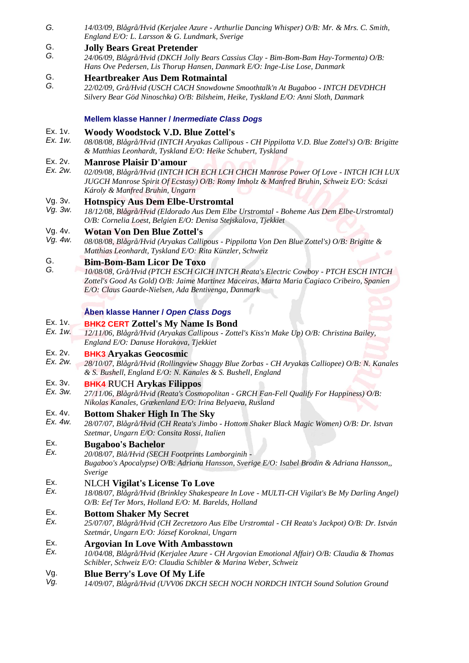*G. 14/03/09, Blågrå/Hvid (Kerjalee Azure - Arthurlie Dancing Whisper) O/B: Mr. & Mrs. C. Smith, England E/O: L. Larsson & G. Lundmark, Sverige* 

#### G. **Jolly Bears Great Pretender**

*G. 24/06/09, Blågrå/Hvid (DKCH Jolly Bears Cassius Clay - Bim-Bom-Bam Hay-Tormenta) O/B: Hans Ove Pedersen, Lis Thorup Hansen, Danmark E/O: Inge-Lise Lose, Danmark*

#### G. **Heartbreaker Aus Dem Rotmaintal**

*G. 22/02/09, Grå/Hvid (USCH CACH Snowdowne Smoothtalk'n At Bugaboo - INTCH DEVDHCH Silvery Bear Göd Ninoschka) O/B: Bilsheim, Heike, Tyskland E/O: Anni Sloth, Danmark* 

### **Mellem klasse Hanner /** *Inermediate Class Dogs*

#### Ex. 1v. **Woody Woodstock V.D. Blue Zottel's**

*Ex. 1w. 08/08/08, Blågrå/Hvid (INTCH Aryakas Callipous - CH Pippilotta V.D. Blue Zottel's) O/B: Brigitte & Matthias Leonhardt, Tyskland E/O: Heike Schubert, Tyskland* 

#### Ex. 2v. **Manrose Plaisir D'amour**

*Ex. 2w. 02/09/08, Blågrå/Hvid (INTCH ICH ECH LCH CHCH Manrose Power Of Love - INTCH ICH LUX JUGCH Manrose Spirit Of Ecstasy) O/B: Romy Imholz & Manfred Bruhin, Schweiz E/O: Scászi Károly & Manfred Bruhin, Ungarn* 

#### Vg. 3v. **Hotnspicy Aus Dem Elbe-Urstromtal**

*Vg. 3w. 18/12/08, Blågrå/Hvid (Eldorado Aus Dem Elbe Urstromtal - Boheme Aus Dem Elbe-Urstromtal) O/B: Cornelia Loest, Belgien E/O: Denisa Stejskalova, Tjekkiet*

#### Vg. 4v. **Wotan Von Den Blue Zottel's**

*Vg. 4w. 08/08/08, Blågrå/Hvid (Aryakas Callipous - Pippilotta Von Den Blue Zottel's) O/B: Brigitte & Matthias Leonhardt, Tyskland E/O: Rita Künzler, Schweiz*

#### G. **Bim-Bom-Bam Licor De Toxo**

*G. 10/08/08, Grå/Hvid (PTCH ESCH GICH INTCH Reata's Electric Cowboy - PTCH ESCH INTCH Zottel's Good As Gold) O/B: Jaime Martinez Maceiras, Marta Maria Cagiaco Cribeiro, Spanien E/O: Claus Gaarde-Nielsen, Ada Bentivenga, Danmark*

### **Åben klasse Hanner /** *Open Class Dogs*

#### Ex. 1v. **BHK2 CERT Zottel's My Name Is Bond**

*Ex. 1w. 12/11/06, Blågrå/Hvid (Aryakas Callipous - Zottel's Kiss'n Make Up) O/B: Christina Bailey, England E/O: Danuse Horakova, Tjekkiet*

#### Ex. 2v. **BHK3 Aryakas Geocosmic**

*Ex. 2w. 28/10/07, Blågrå/Hvid (Rollingview Shaggy Blue Zorbas - CH Aryakas Calliopee) O/B: N. Kanales & S. Bushell, England E/O: N. Kanales & S. Bushell, England*

#### Ex. 3v. **BHK4** RUCH **Arykas Filippos**

*Ex. 3w. 27/11/06, Blågrå/Hvid (Reata's Cosmopolitan - GRCH Fan-Fell Qualify For Happiness) O/B: Nikolas Kanales, Grækenland E/O: Irina Belyaeva, Rusland* 

#### Ex. 4v. **Bottom Shaker High In The Sky**

*Ex. 4w. 28/07/07, Blågrå/Hvid (CH Reata's Jimbo - Hottom Shaker Black Magic Women) O/B: Dr. Istvan Szetmar, Ungarn E/O: Consita Rossi, Italien*

#### Ex. **Bugaboo's Bachelor**

*Ex. 20/08/07, Blå/Hvid (SECH Footprints Lamborginih - Bugaboo's Apocalypse) O/B: Adriana Hansson, Sverige E/O: Isabel Brodin & Adriana Hansson,, Sverige*

#### Ex. NLCH **Vigilat's License To Love**

*Ex. 18/08/07, Blågrå/Hvid (Brinkley Shakespeare In Love - MULTI-CH Vigilat's Be My Darling Angel) O/B: Eef Ter Mors, Holland E/O: M. Barelds, Holland*

#### Ex. **Bottom Shaker My Secret**

*Ex. 25/07/07, Blågrå/Hvid (CH Zecretzoro Aus Elbe Urstromtal - CH Reata's Jackpot) O/B: Dr. István Szetmár, Ungarn E/O: József Koroknai, Ungarn*

#### Ex. **Argovian In Love With Ambasstown**

*Ex. 10/04/08, Blågrå/Hvid (Kerjalee Azure - CH Argovian Emotional Affair) O/B: Claudia & Thomas Schibler, Schweiz E/O: Claudia Schibler & Marina Weber, Schweiz*

#### Vg. **Blue Berry's Love Of My Life**

*Vg. 14/09/07, Blågrå/Hvid (UVV06 DKCH SECH NOCH NORDCH INTCH Sound Solution Ground*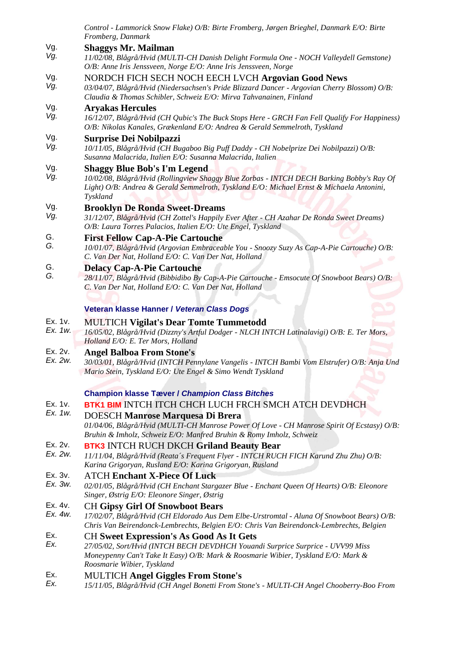|                    | Control - Lammorick Snow Flake) O/B: Birte Fromberg, Jørgen Brieghel, Danmark E/O: Birte                                                                                                                                                             |
|--------------------|------------------------------------------------------------------------------------------------------------------------------------------------------------------------------------------------------------------------------------------------------|
|                    | Fromberg, Danmark                                                                                                                                                                                                                                    |
| Vg.<br>Vg.         | <b>Shaggys Mr. Mailman</b><br>11/02/08, Blågrå/Hvid (MULTI-CH Danish Delight Formula One - NOCH Valleydell Gemstone)<br>O/B: Anne Iris Jenssveen, Norge E/O: Anne Iris Jenssveen, Norge                                                              |
| Vg.<br>Vg.         | NORDCH FICH SECH NOCH EECH LVCH Argovian Good News<br>03/04/07, Blågrå/Hvid (Niedersachsen's Pride Blizzard Dancer - Argovian Cherry Blossom) O/B:<br>Claudia & Thomas Schibler, Schweiz E/O: Mirva Tahvanainen, Finland                             |
| Vg.<br>Vg.         | <b>Aryakas Hercules</b><br>16/12/07, Blågrå/Hvid (CH Qubic's The Buck Stops Here - GRCH Fan Fell Qualify For Happiness)<br>O/B: Nikolas Kanales, Grækenland E/O: Andrea & Gerald Semmelroth, Tyskland                                                |
| Vg.<br>Vg.         | <b>Surprise Dei Nobilpazzi</b><br>10/11/05, Blågrå/Hvid (CH Bugaboo Big Puff Daddy - CH Nobelprize Dei Nobilpazzi) O/B:<br>Susanna Malacrida, Italien E/O: Susanna Malacrida, Italien                                                                |
| Vg.<br>Vg.         | <b>Shaggy Blue Bob's I'm Legend</b><br>10/02/08, Blågrå/Hvid (Rollingview Shaggy Blue Zorbas - INTCH DECH Barking Bobby's Ray Of<br>Light) O/B: Andrea & Gerald Semmelroth, Tyskland E/O: Michael Ernst & Michaela Antonini,<br>Tyskland             |
| Vg.<br>Vg.         | <b>Brooklyn De Ronda Sweet-Dreams</b><br>31/12/07, Blågrå/Hvid (CH Zottel's Happily Ever After - CH Azahar De Ronda Sweet Dreams)<br>O/B: Laura Torres Palacios, Italien E/O: Ute Engel, Tyskland                                                    |
| G.<br>G.           | <b>First Fellow Cap-A-Pie Cartouche</b><br>10/01/07, Blågrå/Hvid (Argovian Embraceable You - Snoozy Suzy As Cap-A-Pie Cartouche) O/B:<br>C. Van Der Nat, Holland E/O: C. Van Der Nat, Holland                                                        |
| G.<br>G.           | <b>Delacy Cap-A-Pie Cartouche</b><br>28/11/07, Blågrå/Hvid (Bibbidibo By Cap-A-Pie Cartouche - Emsocute Of Snowboot Bears) O/B:<br>C. Van Der Nat, Holland E/O: C. Van Der Nat, Holland                                                              |
|                    | Veteran klasse Hanner / Veteran Class Dogs                                                                                                                                                                                                           |
| Ex. 1v.<br>Ex. 1w. | <b>MULTICH Vigilat's Dear Tomte Tummetodd</b><br>16/05/02, Blågrå/Hvid (Dizzny's Artful Dodger - NLCH INTCH Latinalavigi) O/B: E. Ter Mors,<br>Holland E/O: E. Ter Mors, Holland                                                                     |
| Ex. 2v.<br>Ex. 2w. | <b>Angel Balboa From Stone's</b><br>30/03/01, Blågrå/Hvid (INTCH Pennylane Vangelis - INTCH Bambi Vom Elstrufer) O/B: Anja Und<br>Mario Stein, Tyskland E/O: Ute Engel & Simo Wendt Tyskland                                                         |
|                    | <b>Champion klasse Tæver / Champion Class Bitches</b>                                                                                                                                                                                                |
| Ex. 1v.            | <b>BTK1 BIM INTCH ITCH CHCH LUCH FRCH SMCH ATCH DEVDHCH</b>                                                                                                                                                                                          |
| Ex. 1w.            | <b>DOESCH Manrose Marquesa Di Brera</b>                                                                                                                                                                                                              |
|                    | 01/04/06, Blågrå/Hvid (MULTI-CH Manrose Power Of Love - CH Manrose Spirit Of Ecstasy) O/B:<br>Bruhin & Imholz, Schweiz E/O: Manfred Bruhin & Romy Imholz, Schweiz                                                                                    |
| Ex. 2v.<br>Ex. 2w. | <b>BTK3</b> INTCH RUCH DKCH Griland Beauty Bear<br>11/11/04, Blågrå/Hvid (Reata's Frequent Flyer - INTCH RUCH FICH Karund Zhu Zhu) O/B:<br>Karina Grigoryan, Rusland E/O: Karina Grigoryan, Rusland                                                  |
| Ex. 3v.<br>Ex. 3w. | <b>ATCH Enchant X-Piece Of Luck</b><br>02/01/05, Blågrå/Hvid (CH Enchant Stargazer Blue - Enchant Queen Of Hearts) O/B: Eleonore<br>Singer, Østrig E/O: Eleonore Singer, Østrig                                                                      |
| Ex. 4v.<br>Ex. 4w. | <b>CH Gipsy Girl Of Snowboot Bears</b><br>17/02/07, Blågrå/Hvid (CH Eldorado Aus Dem Elbe-Urstromtal - Aluna Of Snowboot Bears) O/B:<br>Chris Van Beirendonck-Lembrechts, Belgien E/O: Chris Van Beirendonck-Lembrechts, Belgien                     |
| Ex.<br>Ex.         | <b>CH Sweet Expression's As Good As It Gets</b><br>27/05/02, Sort/Hvid (INTCH BECH DEVDHCH Youandi Surprice Surprice - UVV99 Miss<br>Moneypenny Can't Take It Easy) O/B: Mark & Roosmarie Wibier, Tyskland E/O: Mark &<br>Roosmarie Wibier, Tyskland |
| Ex.<br>Ex.         | <b>MULTICH Angel Giggles From Stone's</b><br>15/11/05, Blågrå/Hvid (CH Angel Bonetti From Stone's - MULTI-CH Angel Chooberry-Boo From                                                                                                                |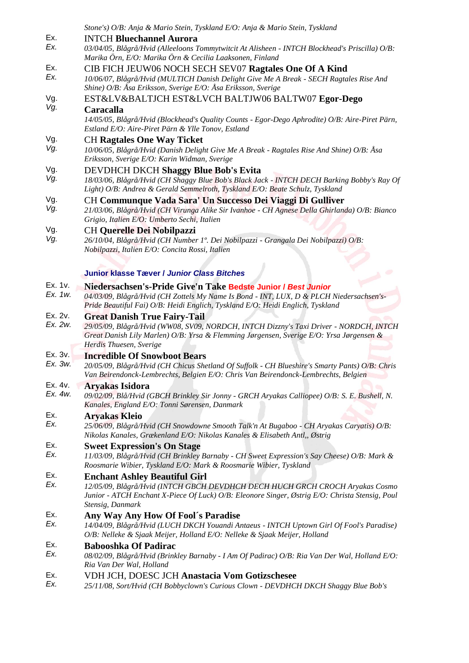|                    | Stone's) O/B: Anja & Mario Stein, Tyskland E/O: Anja & Mario Stein, Tyskland                                                                                                         |
|--------------------|--------------------------------------------------------------------------------------------------------------------------------------------------------------------------------------|
| Ex.                | <b>INTCH Bluechannel Aurora</b>                                                                                                                                                      |
| Ex.                | 03/04/05, Blågrå/Hvid (Alleeloons Tommytwitcit At Alisheen - INTCH Blockhead's Priscilla) O/B:<br>Marika Örn, E/O: Marika Örn & Cecilia Laaksonen, Finland                           |
| Ex.                | CIB FICH JEUW06 NOCH SECH SEV07 Ragtales One Of A Kind                                                                                                                               |
| Ex.                | 10/06/07, Blågrå/Hvid (MULTICH Danish Delight Give Me A Break - SECH Ragtales Rise And<br>Shine) O/B: Åsa Eriksson, Sverige E/O: Åsa Eriksson, Sverige                               |
| Vg.                | EST&LV&BALTJCH EST&LVCH BALTJW06 BALTW07 Egor-Dego                                                                                                                                   |
| Vg.                | Caracalla                                                                                                                                                                            |
|                    | 14/05/05, Blågrå/Hvid (Blockhead's Quality Counts - Egor-Dego Aphrodite) O/B: Aire-Piret Pärn,<br>Estland E/O: Aire-Piret Pärn & Ylle Tonov, Estland                                 |
| Vg.                | <b>CH Ragtales One Way Ticket</b>                                                                                                                                                    |
| Vg.                | 10/06/05, Blågrå/Hvid (Danish Delight Give Me A Break - Ragtales Rise And Shine) O/B: Åsa<br>Eriksson, Sverige E/O: Karin Widman, Sverige                                            |
| Vg.                | <b>DEVDHCH DKCH Shaggy Blue Bob's Evita</b>                                                                                                                                          |
| Vg.                | 18/03/06, Blågrå/Hvid (CH Shaggy Blue Bob's Black Jack - INTCH DECH Barking Bobby's Ray Of<br>Light) O/B: Andrea & Gerald Semmelroth, Tyskland E/O: Beate Schulz, Tyskland           |
| Vg.                | CH Communque Vada Sara' Un Successo Dei Viaggi Di Gulliver                                                                                                                           |
| Vg.                | 21/03/06, Blågrå/Hvid (CH Virunga Alike Sir Ivanhoe - CH Agnese Della Ghirlanda) O/B: Bianco<br>Grigio, Italien E/O: Umberto Sechi, Italien                                          |
| Vg.                | <b>CH Querelle Dei Nobilpazzi</b>                                                                                                                                                    |
| Vg.                | 26/10/04, Blågrå/Hvid (CH Number 1°. Dei Nobilpazzi - Grangala Dei Nobilpazzi) O/B:                                                                                                  |
|                    | Nobilpazzi, Italien E/O: Concita Rossi, Italien                                                                                                                                      |
|                    | <b>Junior klasse Tæver / Junior Class Bitches</b>                                                                                                                                    |
| Ex. 1v.            | Niedersachsen's-Pride Give'n Take Bedste Junior / Best Junior                                                                                                                        |
| Ex. 1w.            | 04/03/09, Blågrå/Hvid (CH Zottels My Name Is Bond - INT, LUX, D & PLCH Niedersachsen's-<br>Pride Beautiful Fai) O/B: Heidi Englich, Tyskland E/O: Heidi Englich, Tyskland            |
| Ex. 2v.            | <b>Great Danish True Fairy-Tail</b>                                                                                                                                                  |
| Ex. 2w.            | 29/05/09, Blågrå/Hvid (WW08, SV09, NORDCH, INTCH Dizzny's Taxi Driver - NORDCH, INTCH<br>Great Danish Lily Marlen) O/B: Yrsa & Flemming Jørgensen, Sverige E/O: Yrsa Jørgensen &     |
|                    | Herdis Thuesen, Sverige                                                                                                                                                              |
| Ex. 3v.<br>Ex. 3w. | <b>Incredible Of Snowboot Bears</b>                                                                                                                                                  |
|                    | 20/05/09, Blågrå/Hvid (CH Chicus Shetland Of Suffolk - CH Blueshire's Smarty Pants) O/B: Chris<br>Van Beirendonck-Lembrechts, Belgien E/O: Chris Van Beirendonck-Lembrechts, Belgien |
| Ex. 4v.<br>Ex. 4w. | <b>Aryakas Isidora</b>                                                                                                                                                               |
|                    | 09/02/09, Blå/Hvid (GBCH Brinkley Sir Jonny - GRCH Aryakas Calliopee) O/B: S. E. Bushell, N.<br>Kanales, England E/O: Tonni Sørensen, Danmark                                        |
| Ex.                | <b>Aryakas Kleio</b>                                                                                                                                                                 |
| Ex.                | 25/06/09, Blågrå/Hvid (CH Snowdowne Smooth Talk'n At Bugaboo - CH Aryakas Caryatis) O/B:<br>Nikolas Kanales, Grækenland E/O: Nikolas Kanales & Elisabeth Antl,, Østrig               |
| Ex.                | <b>Sweet Expression's On Stage</b>                                                                                                                                                   |
| Ex.                | 11/03/09, Blågrå/Hvid (CH Brinkley Barnaby - CH Sweet Expression's Say Cheese) O/B: Mark &                                                                                           |
|                    | Roosmarie Wibier, Tyskland E/O: Mark & Roosmarie Wibier, Tyskland                                                                                                                    |
| Ex.                | <b>Enchant Ashley Beautiful Girl</b>                                                                                                                                                 |
| Ex.                | 12/05/09, Blågrå/Hvid (INTCH GBCH DEVDHCH DECH HUCH GRCH CROCH Aryakas Cosmo                                                                                                         |
|                    | Junior - ATCH Enchant X-Piece Of Luck) O/B: Eleonore Singer, Østrig E/O: Christa Stensig, Poul                                                                                       |
| Ex.                | Stensig, Danmark                                                                                                                                                                     |
| Ex.                | Any Way Any How Of Fool's Paradise<br>14/04/09, Blågrå/Hvid (LUCH DKCH Youandi Antaeus - INTCH Uptown Girl Of Fool's Paradise)                                                       |
|                    | O/B: Nelleke & Sjaak Meijer, Holland E/O: Nelleke & Sjaak Meijer, Holland                                                                                                            |
| Ex.                | <b>Babooshka Of Padirac</b>                                                                                                                                                          |
| Ex.                | 08/02/09, Blågrå/Hvid (Brinkley Barnaby - I Am Of Padirac) O/B: Ria Van Der Wal, Holland E/O:                                                                                        |
|                    | Ria Van Der Wal, Holland                                                                                                                                                             |
| Ex.                | VDH JCH, DOESC JCH Anastacia Vom Gotizschesee                                                                                                                                        |
| Ex.                | 25/11/08, Sort/Hvid (CH Bobbyclown's Curious Clown - DEVDHCH DKCH Shaggy Blue Bob's                                                                                                  |
|                    |                                                                                                                                                                                      |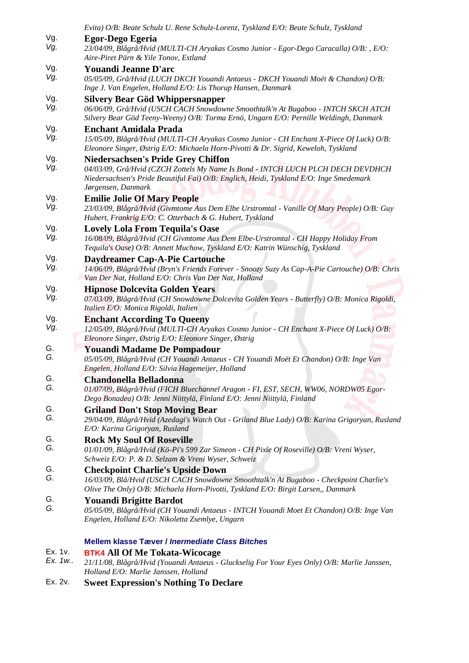|            | Evita) O/B: Beate Schulz U. Rene Schulz-Lorenz, Tyskland E/O: Beate Schulz, Tyskland                                                                                                                                                         |
|------------|----------------------------------------------------------------------------------------------------------------------------------------------------------------------------------------------------------------------------------------------|
| Vg.<br>Vg. | Egor-Dego Egeria<br>23/04/09, Blågrå/Hvid (MULTI-CH Aryakas Cosmo Junior - Egor-Dego Caracalla) O/B: , E/O:<br>Aire-Piret Pärn & Yile Tonov, Estland                                                                                         |
| Vg.<br>Vg. | <b>Youandi Jeanne D'arc</b><br>05/05/09, Grå/Hvid (LUCH DKCH Youandi Antaeus - DKCH Youandi Moët & Chandon) O/B:<br>Inge J. Van Engelen, Holland E/O: Lis Thorup Hansen, Danmark                                                             |
| Vg.<br>Vg. | <b>Silvery Bear Göd Whippersnapper</b><br>06/06/09, Grå/Hvid (USCH CACH Snowdowne Smoothtalk'n At Bugaboo - INTCH SKCH ATCH<br>Silvery Bear Göd Teeny-Weeny) O/B: Torma Ernö, Ungarn E/O: Pernille Weldingh, Danmark                         |
| Vg.<br>Vg. | <b>Enchant Amidala Prada</b><br>15/05/09, Blågrå/Hvid (MULTI-CH Aryakas Cosmo Junior - CH Enchant X-Piece Of Luck) O/B:<br>Eleonore Singer, Østrig E/O: Michaela Horn-Pivotti & Dr. Sigrid, Keweloh, Tyskland                                |
| Vg.<br>Vg. | <b>Niedersachsen's Pride Grey Chiffon</b><br>04/03/09, Grå/Hvid (CZCH Zottels My Name Is Bond - INTCH LUCH PLCH DECH DEVDHCH<br>Niedersachsen's Pride Beautiful Fai) O/B: Englich, Heidi, Tyskland E/O: Inge Smedemark<br>Jørgensen, Danmark |
| Vg.<br>Vg. | <b>Emilie Jolie Of Mary People</b><br>23/03/09, Blågrå/Hvid (Givmtome Aus Dem Elbe Urstromtal - Vanille Of Mary People) O/B: Guy<br>Hubert, Frankrig E/O: C. Otterbach & G. Hubert, Tyskland                                                 |
| Vg.<br>Vg. | <b>Lovely Lola From Tequila's Oase</b><br>16/08/09, Blågrå/Hvid (CH Givmtome Aus Dem Elbe-Urstromtal - CH Happy Holiday From<br>Tequila's Oase) O/B: Annett Muchow, Tyskland E/O: Katrin Wünschig, Tyskland                                  |
| Vg.<br>Vg. | Daydreamer Cap-A-Pie Cartouche<br>14/06/09, Blågrå/Hvid (Bryn's Friends Forever - Snoozy Suzy As Cap-A-Pie Cartouche) O/B: Chris<br>Van Der Nat, Holland E/O: Chris Van Der Nat, Holland                                                     |
| Vg.<br>Vg. | <b>Hipnose Dolcevita Golden Years</b><br>07/03/09, Blågrå/Hvid (CH Snowdowne Dolcevita Golden Years - Butterfly) O/B: Monica Rigoldi,<br>Italien E/O: Monica Rigoldi, Italien                                                                |
| Vg.<br>Vg. | <b>Enchant According To Queeny</b><br>12/05/09, Blågrå/Hvid (MULTI-CH Aryakas Cosmo Junior - CH Enchant X-Piece Of Luck) O/B:<br>Eleonore Singer, Østrig E/O: Eleonore Singer, Østrig                                                        |
| G.<br>G.   | <b>Youandi Madame De Pompadour</b><br>05/05/09, Blågrå/Hvid (CH Youandi Antaeus - CH Youandi Moët Et Chandon) O/B: Inge Van<br>Engelen, Holland E/O: Silvia Hagemeijer, Holland                                                              |
| G.<br>G.   | <b>Chandonella Belladonna</b><br>01/07/09, Blågrå/Hvid (FICH Bluechannel Aragon - FI, EST, SECH, WW06, NORDW05 Egor-<br>Dego Bonadea) O/B: Jenni Niittylä, Finland E/O: Jenni Niittylä, Finland                                              |
| G.<br>G.   | <b>Griland Don't Stop Moving Bear</b><br>29/04/09, Blågrå/Hvid (Azedagi's Watch Out - Griland Blue Lady) O/B: Karina Grigoryan, Rusland<br>E/O: Karina Grigoryan, Rusland                                                                    |
| G.<br>G.   | <b>Rock My Soul Of Roseville</b><br>01/01/09, Blågrå/Hvid (Kö-Pi's 599 Zar Simeon - CH Pixie Of Roseville) O/B: Vreni Wyser,<br>Schweiz E/O: P. & D. Selzam & Vreni Wyser, Schweiz                                                           |
| G.<br>G.   | <b>Checkpoint Charlie's Upside Down</b><br>16/03/09, Blå/Hvid (USCH CACH Snowdowne Smoothtalk'n At Bugaboo - Checkpoint Charlie's<br>Olive The Only) O/B: Michaela Horn-Pivotti, Tyskland E/O: Birgit Larsen,, Danmark                       |
| G.<br>G.   | <b>Youandi Brigitte Bardot</b><br>05/05/09, Blågrå/Hvid (CH Youandi Antaeus - INTCH Youandi Moet Et Chandon) O/B: Inge Van<br>Engelen, Holland E/O: Nikoletta Zsemlye, Ungarn                                                                |
|            | <b>Mellem klasse Tæver / Inermediate Class Bitches</b>                                                                                                                                                                                       |
| Ex. 1v.    | <b>BTK4 All Of Me Tokata-Wicocage</b>                                                                                                                                                                                                        |
| Ex. 1w     | 21/11/08, Blågrå/Hvid (Youandi Antaeus - Gluckselig For Your Eyes Only) O/B: Marlie Janssen,<br>Holland E/O: Marlie Janssen, Holland                                                                                                         |
| Ex. 2v.    | <b>Sweet Expression's Nothing To Declare</b>                                                                                                                                                                                                 |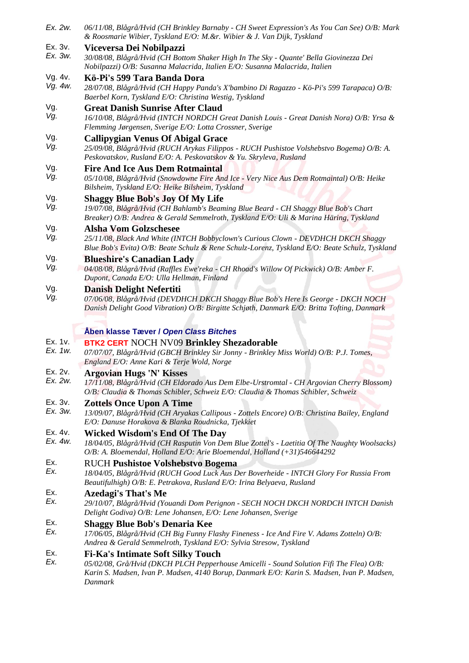*Ex. 2w. 06/11/08, Blågrå/Hvid (CH Brinkley Barnaby - CH Sweet Expression's As You Can See) O/B: Mark & Roosmarie Wibier, Tyskland E/O: M.&r. Wibier & J. Van Dijk, Tyskland* Ex. 3v. *Ex. 3w.* **Viceversa Dei Nobilpazzi**  *30/08/08, Blågrå/Hvid (CH Bottom Shaker High In The Sky - Quante' Bella Giovinezza Dei Nobilpazzi) O/B: Susanna Malacrida, Italien E/O: Susanna Malacrida, Italien* Vg. 4v. *Vg. 4w.* **Kö-Pi's 599 Tara Banda Dora**  *28/07/08, Blågrå/Hvid (CH Happy Panda's X'bambino Di Ragazzo - Kö-Pi's 599 Tarapaca) O/B: Baerbel Korn, Tyskland E/O: Christina Westig, Tyskland*  Vg. *Vg.* **Great Danish Sunrise After Claud** *16/10/08, Blågrå/Hvid (INTCH NORDCH Great Danish Louis - Great Danish Nora) O/B: Yrsa & Flemming Jørgensen, Sverige E/O: Lotta Crossner, Sverige* Vg. *Vg.* **Callipygian Venus Of Abigal Grace**  *25/09/08, Blågrå/Hvid (RUCH Arykas Filippos - RUCH Pushistoe Volshebstvo Bogema) O/B: A. Peskovatskov, Rusland E/O: A. Peskovatskov & Yu. Skryleva, Rusland* Vg. *Vg.* **Fire And Ice Aus Dem Rotmaintal**  *05/10/08, Blågrå/Hvid (Snowdowne Fire And Ice - Very Nice Aus Dem Rotmaintal) O/B: Heike Bilsheim, Tyskland E/O: Heike Bilsheim, Tyskland* Vg. *Vg.* **Shaggy Blue Bob's Joy Of My Life**  *19/07/08, Blågrå/Hvid (CH Bahlamb's Beaming Blue Beard - CH Shaggy Blue Bob's Chart Breaker) O/B: Andrea & Gerald Semmelroth, Tyskland E/O: Uli & Marina Häring, Tyskland* Vg. *Vg.* **Alsha Vom Golzschesee**  *25/11/08, Black And White (INTCH Bobbyclown's Curious Clown - DEVDHCH DKCH Shaggy Blue Bob's Evita) O/B: Beate Schulz & Rene Schulz-Lorenz, Tyskland E/O: Beate Schulz, Tyskland* Vg. *Vg.* **Blueshire's Canadian Lady**  *04/08/08, Blågrå/Hvid (Raffles Ewe'reka - CH Rhoad's Willow Of Pickwick) O/B: Amber F. Dupont, Canada E/O: Ulla Hellman, Finland* Vg. *Vg.* **Danish Delight Nefertiti**  *07/06/08, Blågrå/Hvid (DEVDHCH DKCH Shaggy Blue Bob's Here Is George - DKCH NOCH Danish Delight Good Vibration) O/B: Birgitte Schjøth, Danmark E/O: Britta Tofting, Danmark* **Åben klasse Tæver /** *Open Class Bitche[s](javascript:;)* Ex. 1v. *Ex. 1w.* **BTK2 CERT** NOCH NV09 **Brinkley Shezadorable**  *07/07/07, Blågrå/Hvid (GBCH Brinkley Sir Jonny - Brinkley Miss World) O/B: P.J. Tomes, England E/O: Anne Kari & Terje Wold, Norge* Ex. 2v. *Ex. 2w.* **Argovian Hugs 'N' Kisses** *17/11/08, Blågrå/Hvid (CH Eldorado Aus Dem Elbe-Urstromtal - CH Argovian Cherry Blossom) O/B: Claudia & Thomas Schibler, Schweiz E/O: Claudia & Thomas Schibler, Schweiz* Ex. 3v. *Ex. 3w.* **Zottels Once Upon A Time**  *13/09/07, Blågrå/Hvid (CH Aryakas Callipous - Zottels Encore) O/B: Christina Bailey, England E/O: Danuse Horakova & Blanka Roudnicka, Tjekkiet*  Ex. 4v. *Ex. 4w.* **Wicked Wisdom's End Of The Day**  *18/04/05, Blågrå/Hvid (CH Rasputin Von Dem Blue Zottel's - Laetitia Of The Naughty Woolsacks) O/B: A. Bloemendal, Holland E/O: Arie Bloemendal, Holland (+31)546644292* Ex. *Ex.* RUCH **Pushistoe Volshebstvo Bogema**  *18/04/05, Blågrå/Hvid (RUCH Good Luck Aus Der Boverheide - INTCH Glory For Russia From Beautifulhigh) O/B: E. Petrakova, Rusland E/O: Irina Belyaeva, Rusland* Ex. *Ex.* **Azedagi's That's Me**  *29/10/07, Blågrå/Hvid (Youandi Dom Perignon - SECH NOCH DKCH NORDCH INTCH Danish Delight Godiva) O/B: Lene Johansen, E/O: Lene Johansen, Sverige*  Ex. *Ex.* **Shaggy Blue Bob's Denaria Kee**  *17/06/05, Blågrå/Hvid (CH Big Funny Flashy Fineness - Ice And Fire V. Adams Zotteln) O/B: Andrea & Gerald Semmelroth, Tyskland E/O: Sylvia Stresow, Tyskland*  Ex. *Ex.* **Fi-Ka's Intimate Soft Silky Touch**  *05/02/08, Grå/Hvid (DKCH PLCH Pepperhouse Amicelli - Sound Solution Fifi The Flea) O/B: Karin S. Madsen, Ivan P. Madsen, 4140 Borup, Danmark E/O: Karin S. Madsen, Ivan P. Madsen, Danmark*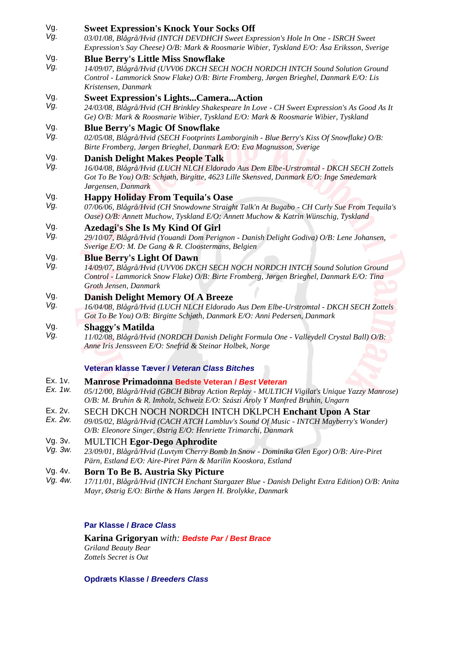| Vg.<br>Vg.            | <b>Sweet Expression's Knock Your Socks Off</b><br>03/01/08, Blågrå/Hvid (INTCH DEVDHCH Sweet Expression's Hole In One - ISRCH Sweet                                                                                                               |
|-----------------------|---------------------------------------------------------------------------------------------------------------------------------------------------------------------------------------------------------------------------------------------------|
| Vg.                   | Expression's Say Cheese) O/B: Mark & Roosmarie Wibier, Tyskland E/O: Åsa Eriksson, Sverige<br><b>Blue Berry's Little Miss Snowflake</b>                                                                                                           |
| Vg.                   | 14/09/07, Blågrå/Hvid (UVV06 DKCH SECH NOCH NORDCH INTCH Sound Solution Ground<br>Control - Lammorick Snow Flake) O/B: Birte Fromberg, Jørgen Brieghel, Danmark E/O: Lis<br>Kristensen, Danmark                                                   |
| Vg.<br>Vg.            | <b>Sweet Expression's LightsCameraAction</b><br>24/03/08, Blågrå/Hvid (CH Brinkley Shakespeare In Love - CH Sweet Expression's As Good As It<br>Ge) O/B: Mark & Roosmarie Wibier, Tyskland E/O: Mark & Roosmarie Wibier, Tyskland                 |
| Vg.<br>Vg.            | <b>Blue Berry's Magic Of Snowflake</b><br>02/05/08, Blågrå/Hvid (SECH Footprints Lamborginih - Blue Berry's Kiss Of Snowflake) O/B:<br>Birte Fromberg, Jørgen Brieghel, Danmark E/O: Eva Magnusson, Sverige                                       |
| Vg.<br>Vg.            | <b>Danish Delight Makes People Talk</b><br>16/04/08, Blågrå/Hvid (LUCH NLCH Eldorado Aus Dem Elbe-Urstromtal - DKCH SECH Zottels<br>Got To Be You) O/B: Schjøth, Birgitte, 4623 Lille Skensved, Danmark E/O: Inge Smedemark<br>Jørgensen, Danmark |
| Vg.<br>Vg.            | <b>Happy Holiday From Tequila's Oase</b><br>07/06/06, Blågrå/Hvid (CH Snowdowne Straight Talk'n At Bugabo - CH Curly Sue From Tequila's<br>Oase) O/B: Annett Muchow, Tyskland E/O: Annett Muchow & Katrin Wünschig, Tyskland                      |
| Vg.<br>Vg.            | <b>Azedagi's She Is My Kind Of Girl</b><br>29/10/07, Blågrå/Hvid (Youandi Dom Perignon - Danish Delight Godiva) O/B: Lene Johansen,<br>Sverige E/O: M. De Gang & R. Cloostermans, Belgien                                                         |
| Vg.<br>Vg.            | <b>Blue Berry's Light Of Dawn</b><br>14/09/07, Blågrå/Hvid (UVV06 DKCH SECH NOCH NORDCH INTCH Sound Solution Ground<br>Control - Lammorick Snow Flake) O/B: Birte Fromberg, Jørgen Brieghel, Danmark E/O: Tina<br>Groth Jensen, Danmark           |
| Vg.<br>Vg.            | <b>Danish Delight Memory Of A Breeze</b><br>16/04/08, Blågrå/Hvid (LUCH NLCH Eldorado Aus Dem Elbe-Urstromtal - DKCH SECH Zottels<br>Got To Be You) O/B: Birgitte Schjøth, Danmark E/O: Anni Pedersen, Danmark                                    |
| Vg.<br>Vg.            | <b>Shaggy's Matilda</b><br>11/02/08, Blågrå/Hvid (NORDCH Danish Delight Formula One - Valleydell Crystal Ball) O/B:<br>Anne Iris Jenssveen E/O: Snefrid & Steinar Holbek, Norge                                                                   |
|                       | Veteran klasse Tæver / Veteran Class Bitches                                                                                                                                                                                                      |
| Ex. 1v.<br>Ex. 1w.    | Manrose Primadonna Bedste Veteran / Best Veteran<br>05/12/00, Blågrå/Hvid (GBCH Bibray Action Replay - MULTICH Vigilat's Unique Yazzy Manrose)<br>O/B: M. Bruhin & R. Imholz, Schweiz E/O: Szászi Ároly Y Manfred Bruhin, Ungarn                  |
| Ex. 2v.<br>Ex. 2w.    | SECH DKCH NOCH NORDCH INTCH DKLPCH Enchant Upon A Star<br>09/05/02, Blågrå/Hvid (CACH ATCH Lambluv's Sound Of Music - INTCH Mayberry's Wonder)<br>O/B: Eleonore Singer, Østrig E/O: Henriette Trimarchi, Danmark                                  |
| Vg. 3v.<br>Vg. 3w.    | <b>MULTICH Egor-Dego Aphrodite</b><br>23/09/01, Blågrå/Hvid (Luvtym Cherry Bomb In Snow - Dominika Glen Egor) O/B: Aire-Piret<br>Pärn, Estland E/O: Aire-Piret Pärn & Marilin Kooskora, Estland                                                   |
| Vg. 4v.<br>Va. $4w$ . | <b>Born To Be B. Austria Sky Picture</b><br>17/11/01 Bloome/Hyid (INTCH Enghant Starogzer Blue Danish Delight Extra Edition) O/B: Anita                                                                                                           |

*Vg. 4w. 17/11/01, Blågrå/Hvid (INTCH Enchant Stargazer Blue - Danish Delight Extra Edition) O/B: Anita Mayr, Østrig E/O: Birthe & Hans Jørgen H. Brolykke, Danmark*

# **Par Klasse /** *Brace Class*

**Karina Grigoryan** *with: Bedste Par / Best Brace Griland Beauty Bear Zottels Secret is Out* 

# **Opdræts Klasse /** *Breeders Class*